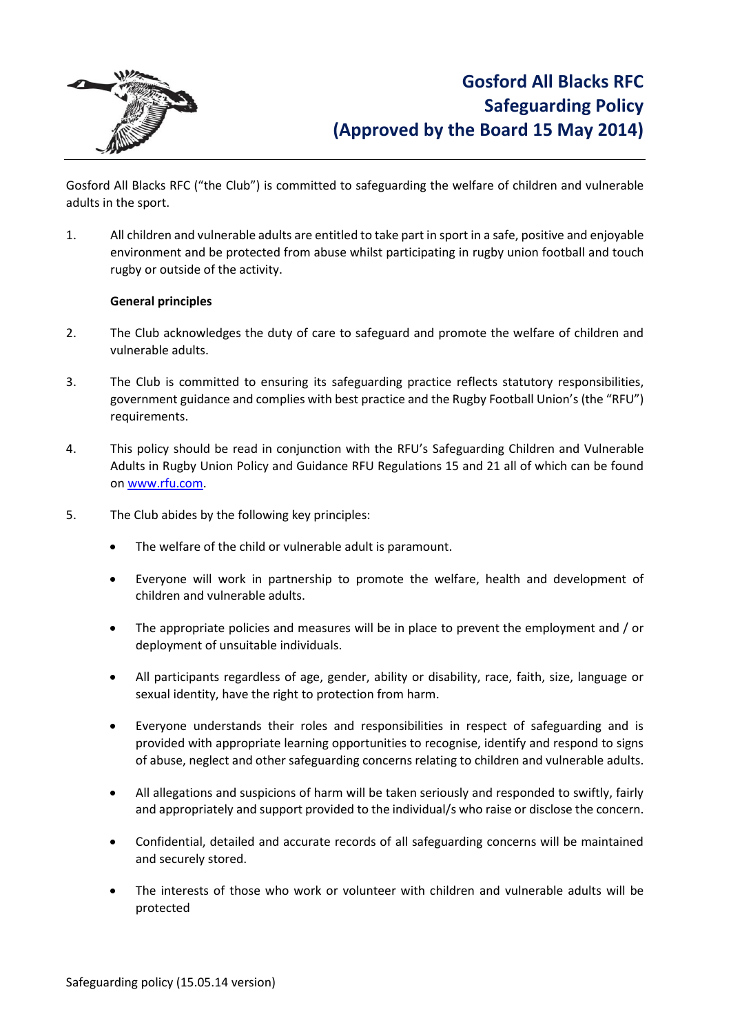

Gosford All Blacks RFC ("the Club") is committed to safeguarding the welfare of children and vulnerable adults in the sport.

1. All children and vulnerable adults are entitled to take part in sport in a safe, positive and enjoyable environment and be protected from abuse whilst participating in rugby union football and touch rugby or outside of the activity.

### **General principles**

- 2. The Club acknowledges the duty of care to safeguard and promote the welfare of children and vulnerable adults.
- 3. The Club is committed to ensuring its safeguarding practice reflects statutory responsibilities, government guidance and complies with best practice and the Rugby Football Union's (the "RFU") requirements.
- 4. This policy should be read in conjunction with the RFU's Safeguarding Children and Vulnerable Adults in Rugby Union Policy and Guidance RFU Regulations 15 and 21 all of which can be found on [www.rfu.com.](http://www.rfu.com/)
- 5. The Club abides by the following key principles:
	- The welfare of the child or vulnerable adult is paramount.
	- Everyone will work in partnership to promote the welfare, health and development of children and vulnerable adults.
	- The appropriate policies and measures will be in place to prevent the employment and / or deployment of unsuitable individuals.
	- All participants regardless of age, gender, ability or disability, race, faith, size, language or sexual identity, have the right to protection from harm.
	- Everyone understands their roles and responsibilities in respect of safeguarding and is provided with appropriate learning opportunities to recognise, identify and respond to signs of abuse, neglect and other safeguarding concerns relating to children and vulnerable adults.
	- All allegations and suspicions of harm will be taken seriously and responded to swiftly, fairly and appropriately and support provided to the individual/s who raise or disclose the concern.
	- Confidential, detailed and accurate records of all safeguarding concerns will be maintained and securely stored.
	- The interests of those who work or volunteer with children and vulnerable adults will be protected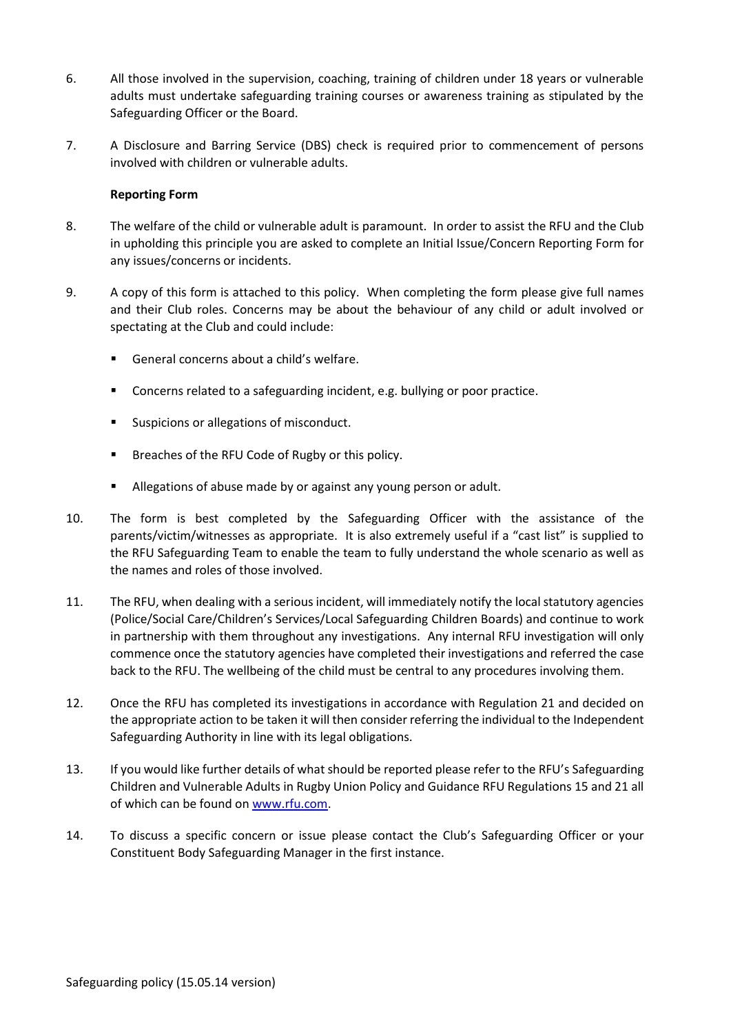- 6. All those involved in the supervision, coaching, training of children under 18 years or vulnerable adults must undertake safeguarding training courses or awareness training as stipulated by the Safeguarding Officer or the Board.
- 7. A Disclosure and Barring Service (DBS) check is required prior to commencement of persons involved with children or vulnerable adults.

### **Reporting Form**

- 8. The welfare of the child or vulnerable adult is paramount. In order to assist the RFU and the Club in upholding this principle you are asked to complete an Initial Issue/Concern Reporting Form for any issues/concerns or incidents.
- 9. A copy of this form is attached to this policy. When completing the form please give full names and their Club roles. Concerns may be about the behaviour of any child or adult involved or spectating at the Club and could include:
	- General concerns about a child's welfare.
	- **Concerns related to a safeguarding incident, e.g. bullying or poor practice.**
	- **Suspicions or allegations of misconduct.**
	- **Breaches of the RFU Code of Rugby or this policy.**
	- **Allegations of abuse made by or against any young person or adult.**
- 10. The form is best completed by the Safeguarding Officer with the assistance of the parents/victim/witnesses as appropriate. It is also extremely useful if a "cast list" is supplied to the RFU Safeguarding Team to enable the team to fully understand the whole scenario as well as the names and roles of those involved.
- 11. The RFU, when dealing with a serious incident, will immediately notify the local statutory agencies (Police/Social Care/Children's Services/Local Safeguarding Children Boards) and continue to work in partnership with them throughout any investigations. Any internal RFU investigation will only commence once the statutory agencies have completed their investigations and referred the case back to the RFU. The wellbeing of the child must be central to any procedures involving them.
- 12. Once the RFU has completed its investigations in accordance with Regulation 21 and decided on the appropriate action to be taken it will then consider referring the individual to the Independent Safeguarding Authority in line with its legal obligations.
- 13. If you would like further details of what should be reported please refer to the RFU's Safeguarding Children and Vulnerable Adults in Rugby Union Policy and Guidance RFU Regulations 15 and 21 all of which can be found o[n www.rfu.com.](http://www.rfu.com/)
- 14. To discuss a specific concern or issue please contact the Club's Safeguarding Officer or your Constituent Body Safeguarding Manager in the first instance.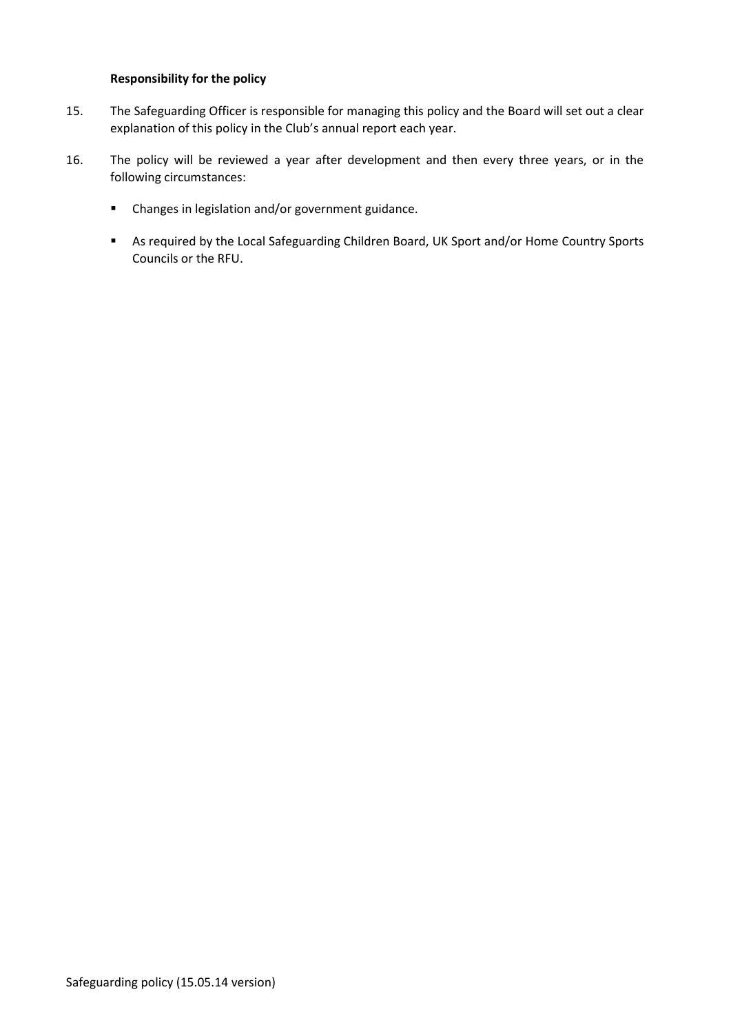## **Responsibility for the policy**

- 15. The Safeguarding Officer is responsible for managing this policy and the Board will set out a clear explanation of this policy in the Club's annual report each year.
- 16. The policy will be reviewed a year after development and then every three years, or in the following circumstances:
	- Changes in legislation and/or government guidance.
	- As required by the Local Safeguarding Children Board, UK Sport and/or Home Country Sports Councils or the RFU.